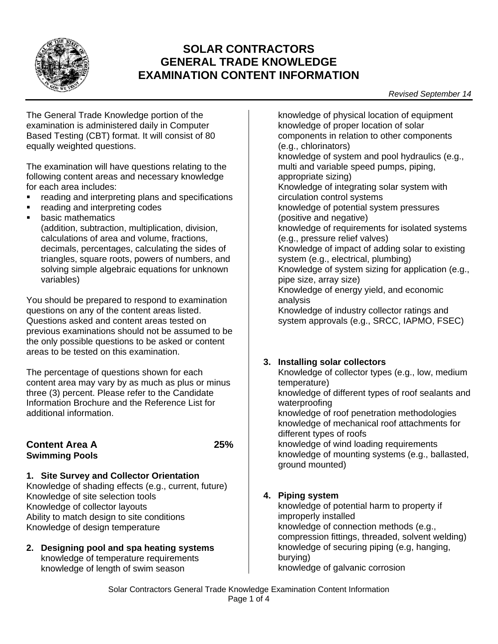

# **SOLAR CONTRACTORS GENERAL TRADE KNOWLEDGE EXAMINATION CONTENT INFORMATION**

The General Trade Knowledge portion of the examination is administered daily in Computer Based Testing (CBT) format. It will consist of 80 equally weighted questions.

The examination will have questions relating to the following content areas and necessary knowledge for each area includes:

- reading and interpreting plans and specifications
- reading and interpreting codes
- basic mathematics

(addition, subtraction, multiplication, division, calculations of area and volume, fractions, decimals, percentages, calculating the sides of triangles, square roots, powers of numbers, and solving simple algebraic equations for unknown variables)

You should be prepared to respond to examination questions on any of the content areas listed. Questions asked and content areas tested on previous examinations should not be assumed to be the only possible questions to be asked or content areas to be tested on this examination.

The percentage of questions shown for each content area may vary by as much as plus or minus three (3) percent. Please refer to the Candidate Information Brochure and the Reference List for additional information.

### **Content Area A 25% Swimming Pools**

**1. Site Survey and Collector Orientation** Knowledge of shading effects (e.g., current, future) Knowledge of site selection tools Knowledge of collector layouts Ability to match design to site conditions

- Knowledge of design temperature
- **2. Designing pool and spa heating systems** knowledge of temperature requirements knowledge of length of swim season

knowledge of physical location of equipment knowledge of proper location of solar components in relation to other components (e.g., chlorinators) knowledge of system and pool hydraulics (e.g., multi and variable speed pumps, piping, appropriate sizing) Knowledge of integrating solar system with circulation control systems knowledge of potential system pressures (positive and negative) knowledge of requirements for isolated systems (e.g., pressure relief valves) Knowledge of impact of adding solar to existing system (e.g., electrical, plumbing) Knowledge of system sizing for application (e.g., pipe size, array size) Knowledge of energy yield, and economic analysis Knowledge of industry collector ratings and system approvals (e.g., SRCC, IAPMO, FSEC)

# **3. Installing solar collectors**

Knowledge of collector types (e.g., low, medium temperature) knowledge of different types of roof sealants and waterproofing knowledge of roof penetration methodologies knowledge of mechanical roof attachments for different types of roofs knowledge of wind loading requirements knowledge of mounting systems (e.g., ballasted, ground mounted)

# **4. Piping system**

knowledge of potential harm to property if improperly installed knowledge of connection methods (e.g., compression fittings, threaded, solvent welding) knowledge of securing piping (e.g, hanging, burying) knowledge of galvanic corrosion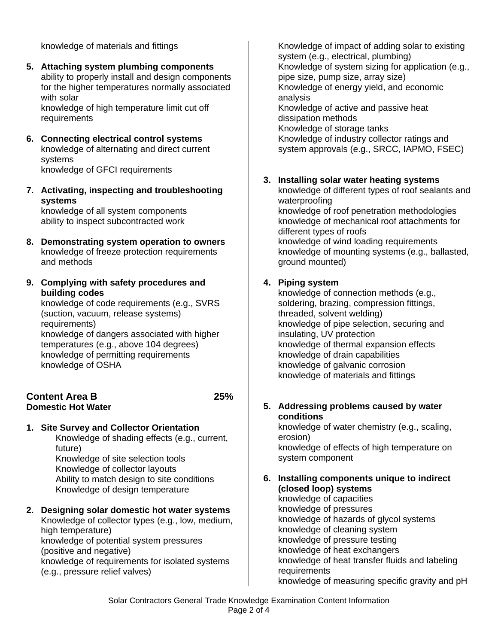knowledge of materials and fittings

**5. Attaching system plumbing components** ability to properly install and design components for the higher temperatures normally associated with solar

knowledge of high temperature limit cut off requirements

- **6. Connecting electrical control systems** knowledge of alternating and direct current systems knowledge of GFCI requirements
- **7. Activating, inspecting and troubleshooting systems**

knowledge of all system components ability to inspect subcontracted work

- **8. Demonstrating system operation to owners** knowledge of freeze protection requirements and methods
- **9. Complying with safety procedures and building codes**

knowledge of code requirements (e.g., SVRS (suction, vacuum, release systems) requirements) knowledge of dangers associated with higher temperatures (e.g., above 104 degrees) knowledge of permitting requirements knowledge of OSHA

#### **Content Area B 25% Domestic Hot Water**

**1. Site Survey and Collector Orientation**

Knowledge of shading effects (e.g., current, future) Knowledge of site selection tools Knowledge of collector layouts Ability to match design to site conditions

Knowledge of design temperature

**2. Designing solar domestic hot water systems** Knowledge of collector types (e.g., low, medium, high temperature) knowledge of potential system pressures (positive and negative) knowledge of requirements for isolated systems (e.g., pressure relief valves)

Knowledge of impact of adding solar to existing system (e.g., electrical, plumbing) Knowledge of system sizing for application (e.g., pipe size, pump size, array size) Knowledge of energy yield, and economic analysis Knowledge of active and passive heat dissipation methods Knowledge of storage tanks Knowledge of industry collector ratings and system approvals (e.g., SRCC, IAPMO, FSEC)

# **3. Installing solar water heating systems**

knowledge of different types of roof sealants and waterproofing knowledge of roof penetration methodologies knowledge of mechanical roof attachments for different types of roofs knowledge of wind loading requirements knowledge of mounting systems (e.g., ballasted, ground mounted)

### **4. Piping system**

knowledge of connection methods (e.g., soldering, brazing, compression fittings, threaded, solvent welding) knowledge of pipe selection, securing and insulating, UV protection knowledge of thermal expansion effects knowledge of drain capabilities knowledge of galvanic corrosion knowledge of materials and fittings

### **5. Addressing problems caused by water conditions**

knowledge of water chemistry (e.g., scaling, erosion) knowledge of effects of high temperature on system component

#### **6. Installing components unique to indirect (closed loop) systems**

knowledge of capacities knowledge of pressures knowledge of hazards of glycol systems knowledge of cleaning system knowledge of pressure testing knowledge of heat exchangers knowledge of heat transfer fluids and labeling **requirements** knowledge of measuring specific gravity and pH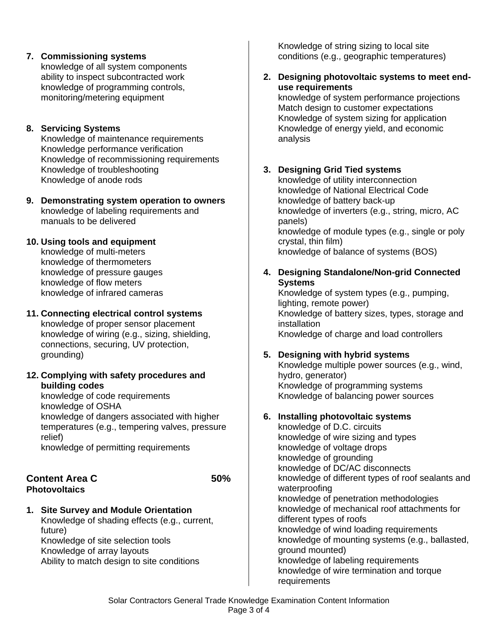**7. Commissioning systems** knowledge of all system components ability to inspect subcontracted work knowledge of programming controls, monitoring/metering equipment

### **8. Servicing Systems**

Knowledge of maintenance requirements Knowledge performance verification Knowledge of recommissioning requirements Knowledge of troubleshooting Knowledge of anode rods

- **9. Demonstrating system operation to owners** knowledge of labeling requirements and manuals to be delivered
- **10. Using tools and equipment** knowledge of multi-meters knowledge of thermometers knowledge of pressure gauges knowledge of flow meters knowledge of infrared cameras

### **11. Connecting electrical control systems**

knowledge of proper sensor placement knowledge of wiring (e.g., sizing, shielding, connections, securing, UV protection, grounding)

**12. Complying with safety procedures and building codes**

knowledge of code requirements knowledge of OSHA knowledge of dangers associated with higher temperatures (e.g., tempering valves, pressure relief) knowledge of permitting requirements

#### **Content Area C** 50% **Photovoltaics**

**1. Site Survey and Module Orientation** Knowledge of shading effects (e.g., current, future) Knowledge of site selection tools Knowledge of array layouts

Ability to match design to site conditions

Knowledge of string sizing to local site conditions (e.g., geographic temperatures)

#### **2. Designing photovoltaic systems to meet enduse requirements**

knowledge of system performance projections Match design to customer expectations Knowledge of system sizing for application Knowledge of energy yield, and economic analysis

# **3. Designing Grid Tied systems**

knowledge of utility interconnection knowledge of National Electrical Code knowledge of battery back-up knowledge of inverters (e.g., string, micro, AC panels) knowledge of module types (e.g., single or poly crystal, thin film) knowledge of balance of systems (BOS)

### **4. Designing Standalone/Non-grid Connected Systems**

Knowledge of system types (e.g., pumping, lighting, remote power) Knowledge of battery sizes, types, storage and installation Knowledge of charge and load controllers

### **5. Designing with hybrid systems**

Knowledge multiple power sources (e.g., wind, hydro, generator) Knowledge of programming systems Knowledge of balancing power sources

#### **6. Installing photovoltaic systems**

knowledge of D.C. circuits knowledge of wire sizing and types knowledge of voltage drops knowledge of grounding knowledge of DC/AC disconnects knowledge of different types of roof sealants and waterproofing knowledge of penetration methodologies knowledge of mechanical roof attachments for different types of roofs knowledge of wind loading requirements knowledge of mounting systems (e.g., ballasted, ground mounted) knowledge of labeling requirements knowledge of wire termination and torque requirements